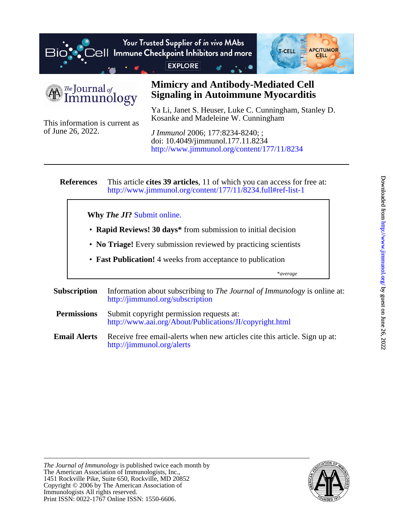

The Journal of mmunology

of June 26, 2022.

## **Signaling in Autoimmune Myocarditis Mimicry and Antibody-Mediated Cell**

Kosanke and Madeleine W. Cunningham Ya Li, Janet S. Heuser, Luke C. Cunningham, Stanley D.

This information is current as <http://www.jimmunol.org/content/177/11/8234> doi: 10.4049/jimmunol.177.11.8234 *J Immunol* 2006; 177:8234-8240; ;

**References** <http://www.jimmunol.org/content/177/11/8234.full#ref-list-1> This article **cites 39 articles**, 11 of which you can access for free at:

**Why** *The JI***?** [Submit online.](https://ji.msubmit.net)

- **Rapid Reviews! 30 days\*** from submission to initial decision
- **No Triage!** Every submission reviewed by practicing scientists
- **Fast Publication!** 4 weeks from acceptance to publication

\**average*

- **Subscription** <http://jimmunol.org/subscription> Information about subscribing to *The Journal of Immunology* is online at:
- **Permissions** <http://www.aai.org/About/Publications/JI/copyright.html> Submit copyright permission requests at:
- **Email Alerts** <http://jimmunol.org/alerts> Receive free email-alerts when new articles cite this article. Sign up at:

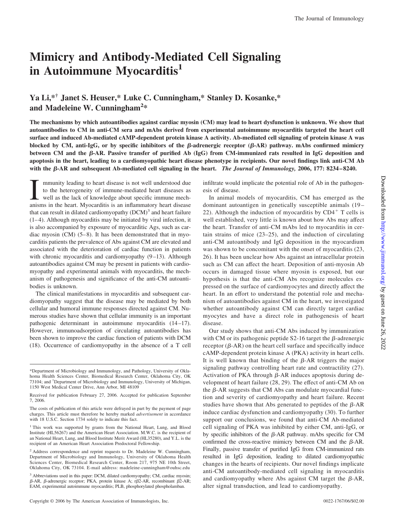# **Mimicry and Antibody-Mediated Cell Signaling in Autoimmune Myocarditis1**

## **Ya Li,\*† Janet S. Heuser,\* Luke C. Cunningham,\* Stanley D. Kosanke,\* and Madeleine W. Cunningham<sup>2</sup> \***

**The mechanisms by which autoantibodies against cardiac myosin (CM) may lead to heart dysfunction is unknown. We show that autoantibodies to CM in anti-CM sera and mAbs derived from experimental autoimmune myocarditis targeted the heart cell surface and induced Ab-mediated cAMP-dependent protein kinase A activity. Ab-mediated cell signaling of protein kinase A was blocked by CM, anti-IgG, or by specific inhibitors of the**  $\beta$ **-adrenergic receptor (** $\beta$ **-AR) pathway. mAbs confirmed mimicry between CM and the**  $\beta$ **-AR. Passive transfer of purified Ab (IgG) from CM-immunized rats resulted in IgG deposition and apoptosis in the heart, leading to a cardiomyopathic heart disease phenotype in recipients. Our novel findings link anti-CM Ab with the -AR and subsequent Ab-mediated cell signaling in the heart.** *The Journal of Immunology,* **2006, 177: 8234–8240.**

I mmunity leading to heart disease is not well understood due<br>to the heterogeneity of immune-mediated heart diseases as<br>well as the lack of knowledge about specific immune mech-<br>anisms in the heart. Myocarditis is an infla mmunity leading to heart disease is not well understood due to the heterogeneity of immune-mediated heart diseases as well as the lack of knowledge about specific immune mechthat can result in dilated cardiomyopathy  $(DCM)^3$  and heart failure  $(1-4)$ . Although myocarditis may be initiated by viral infection, it is also accompanied by exposure of myocarditic Ags, such as cardiac myosin  $(CM)$  (5–8). It has been demonstrated that in myocarditis patients the prevalence of Abs against CM are elevated and associated with the deterioration of cardiac function in patients with chronic myocarditis and cardiomyopathy  $(9-13)$ . Although autoantibodies against CM may be present in patients with cardiomyopathy and experimental animals with myocarditis, the mechanism of pathogenesis and significance of the anti-CM autoantibodies is unknown.

The clinical manifestations in myocarditis and subsequent cardiomyopathy suggest that the disease may be mediated by both cellular and humoral immune responses directed against CM. Numerous studies have shown that cellular immunity is an important pathogenic determinant in autoimmune myocarditis (14-17). However, immunoadsorption of circulating autoantibodies has been shown to improve the cardiac function of patients with DCM (18). Occurrence of cardiomyopathy in the absence of a T cell infiltrate would implicate the potential role of Ab in the pathogenesis of disease.

In animal models of myocarditis, CM has emerged as the dominant autoantigen in genetically susceptible animals (19 – 22). Although the induction of myocarditis by  $CD4<sup>+</sup>$  T cells is well established, very little is known about how Abs may affect the heart. Transfer of anti-CM mAbs led to myocarditis in certain strains of mice (23–25), and the induction of circulating anti-CM autoantibody and IgG deposition in the myocardium was shown to be concomitant with the onset of myocarditis (23, 26). It has been unclear how Abs against an intracellular protein such as CM can affect the heart. Deposition of anti-myosin Ab occurs in damaged tissue where myosin is exposed, but our hypothesis is that the anti-CM Abs recognize molecules expressed on the surface of cardiomyocytes and directly affect the heart. In an effort to understand the potential role and mechanism of autoantibodies against CM in the heart, we investigated whether autoantibody against CM can directly target cardiac myocytes and have a direct role in pathogenesis of heart disease.

Our study shows that anti-CM Abs induced by immunization with CM or its pathogenic peptide  $S2-16$  target the  $\beta$ -adrenergic receptor  $(\beta - AR)$  on the heart cell surface and specifically induce cAMP-dependent protein kinase A (PKA) activity in heart cells. It is well known that binding of the  $\beta$ -AR triggers the major signaling pathway controlling heart rate and contractility (27). Activation of PKA through  $\beta$ -AR induces apoptosis during development of heart failure (28, 29). The effect of anti-CM Ab on the  $\beta$ -AR suggests that CM Abs can modulate myocardial function and severity of cardiomyopathy and heart failure. Recent studies have shown that Abs generated to peptides of the  $\beta$ -AR induce cardiac dysfunction and cardiomyopathy (30). To further support our conclusions, we found that anti-CM Ab-mediated cell signaling of PKA was inhibited by either CM, anti-IgG, or by specific inhibitors of the  $\beta$ -AR pathway. mAbs specific for CM confirmed the cross-reactive mimicry between CM and the  $\beta$ -AR. Finally, passive transfer of purified IgG from CM-immunized rats resulted in IgG deposition, leading to dilated cardiomyopathic changes in the hearts of recipients. Our novel findings implicate anti-CM autoantibody-mediated cell signaling in myocarditis and cardiomyopathy where Abs against CM target the  $\beta$ -AR, alter signal transduction, and lead to cardiomyopathy.

<sup>\*</sup>Department of Microbiology and Immunology, and Pathology, University of Oklahoma Health Sciences Center, Biomedical Research Center, Oklahoma City, OK 73104; and † Department of Microbiology and Immunology, University of Michigan, 1150 West Medical Center Drive, Ann Arbor, MI 48109

Received for publication February 27, 2006. Accepted for publication September 7, 2006.

The costs of publication of this article were defrayed in part by the payment of page charges. This article must therefore be hereby marked *advertisement* in accordance with 18 U.S.C. Section 1734 solely to indicate this fact.

<sup>&</sup>lt;sup>1</sup> This work was supported by grants from the National Heart, Lung, and Blood Institute (HL56267) and the American Heart Association. M.W.C. is the recipient of an National Heart, Lung, and Blood Institute Merit Award (HL35280), and Y.L. is the recipient of an American Heart Association Predoctoral Fellowship.

<sup>2</sup> Address correspondence and reprint requests to Dr. Madeleine W. Cunningham, Department of Microbiology and Immunology, University of Oklahoma Health Sciences Center, Biomedical Research Center, Room 217, 975 NE 10th Street, Oklahoma City, OK 73104. E-mail address: madeleine-cunningham@ouhsc.edu

<sup>&</sup>lt;sup>3</sup> Abbreviations used in this paper: DCM, dilated cardiomyopathy; CM, cardiac myosin;  $\beta$ -AR,  $\beta$ -adrenergic receptor; PKA, protein kinase A; r $\beta$ 2-AR, recombinant  $\beta$ 2-AR; EAM, experimental autoimmune myocarditis; PLB, phosphorylated phospholamban.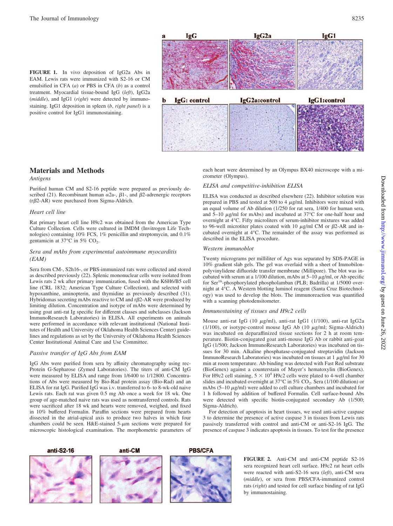**FIGURE 1.** In vivo deposition of IgG2a Abs in EAM. Lewis rats were immunized with S2-16 or CM emulsified in CFA (*a*) or PBS in CFA (*b*) as a control treatment. Myocardial tissue-bound IgG (*left*), IgG2a (*middle*), and IgG1 (*right*) were detected by immunostaining. IgG1 deposition in spleen (*b*, *right panel*) is a positive control for IgG1 immunostaining.



## **Materials and Methods**

*Antigens*

Purified human CM and S2-16 peptide were prepared as previously described (21). Recombinant human  $\alpha$ 2a-,  $\beta$ 1-, and  $\beta$ 2-adrenergic receptors  $(r\beta2-AR)$  were purchased from Sigma-Aldrich.

## *Heart cell line*

Rat primary heart cell line H9c2 was obtained from the American Type Culture Collection. Cells were cultured in IMDM (Invitrogen Life Technologies) containing 10% FCS, 1% penicillin and streptomycin, and 0.1% gentamicin at  $37^{\circ}$ C in 5% CO<sub>2</sub>.

## *Sera and mAbs from experimental autoimmune myocarditis (EAM)*

Sera from CM-, S2h16-, or PBS-immunized rats were collected and stored as described previously (22). Splenic mononuclear cells were isolated from Lewis rats 2 wk after primary immunization, fused with the K6H6/B5 cell line (CRL 1832; American Type Culture Collection), and selected with hypoxanthine, aminopterin, and thymidine as previously described (31). Hybridomas secreting mAbs reactive to CM and  $r\beta$ 2-AR were produced by limiting dilution. Concentration and isotype of mAbs were determined by using goat anti-rat Ig specific for different classes and subclasses (Jackson ImmunoResearch Laboratories) in ELISA. All experiments on animals were performed in accordance with relevant institutional (National Institutes of Health and University of Oklahoma Health Sciences Center) guidelines and regulations as set by the University of Oklahoma Health Sciences Center Institutional Animal Care and Use Committee.

## *Passive transfer of IgG Abs from EAM*

IgG Abs were purified from sera by affinity chromatography using rec-Protein G-Sepharose (Zymed Laboratories). The titers of anti-CM IgG were measured by ELISA and range from 1/6400 to 1/12800. Concentrations of Abs were measured by Bio-Rad protein assay (Bio-Rad) and an ELISA for rat IgG. Purified IgG was i.v. transferred to 6- to 8-wk-old naive Lewis rats. Each rat was given 0.5 mg Ab once a week for 18 wk. One group of age-matched naive rats was used as nontransferred controls. Rats were sacrificed after 18 wk and hearts were removed, weighed, and fixed in 10% buffered Formalin. Paraffin sections were prepared from hearts dissected in the atrial-apical axis to produce two halves in which four chambers could be seen. H&E-stained  $5-\mu m$  sections were prepared for microscopic histological examination. The morphometric parameters of each heart were determined by an Olympus BX40 microscope with a micrometer (Olympus).

## *ELISA and competitive-inhibition ELISA*

ELISA was conducted as described elsewhere (22). Inhibitor solution was prepared in PBS and tested at 500 to 4  $\mu$ g/ml. Inhibitors were mixed with an equal volume of Ab dilution (1/250 for rat sera, 1/400 for human sera, and  $5-10 \mu g/ml$  for mAbs) and incubated at  $37^{\circ}$ C for one-half hour and overnight at 4°C. Fifty microliters of serum-inhibitor mixtures was added to 96-well microtiter plates coated with 10  $\mu$ g/ml CM or  $\beta$ 2-AR and incubated overnight at 4°C. The remainder of the assay was performed as described in the ELISA procedure.

## *Western immunoblot*

Twenty micrograms per milliliter of Ags was separated by SDS-PAGE in 10% gradient slab gels. The gel was overlaid with a sheet of Immobilonpolyvinylidene difluoride transfer membrane (Millipore). The blot was incubated with serum at a 1/100 dilution, mAbs at  $5-10 \mu g/ml$ , or Ab specific for Ser16-phosphorylated phospholamban (PLB; Badrilla) at 1/5000 overnight at 4°C. A Western blotting luminol reagent (Santa Cruz Biotechnology) was used to develop the blots. The immunoreaction was quantified with a scanning photodensitometer.

## *Immunostaining of tissues and H9c2 cells*

Mouse anti-rat IgG (10  $\mu$ g/ml), anti-rat IgG1 (1/100), anti-rat IgG2a ( $1/100$ ), or isotype-control mouse IgG Ab ( $10 \mu$ g/ml; Sigma-Aldrich) was incubated on deparaffinized tissue sections for 2 h at room temperature. Biotin-conjugated goat anti-mouse IgG Ab or rabbit anti-goat IgG (1/500; Jackson ImmunoResearch Laboratories) was incubated on tissues for 30 min. Alkaline phosphatase-conjugated streptavidin (Jackson ImmunoResearch Laboratories) was incubated on tissues at  $1 \mu g/ml$  for 30 min at room temperature. Ab binding was detected with Fast Red substrate (BioGenex) against a counterstain of Mayer's hematoxylin (BioGenex). For H9c2 cell staining,  $5 \times 10^4$  H9c2 cells were plated to 4-well chamber slides and incubated overnight at  $37^{\circ}$ C in  $5\%$  CO<sub>2</sub>. Sera (1/100 dilution) or mAbs  $(5-10 \mu g/ml)$  were added to cell culture chambers and incubated for 1 h followed by addition of buffered Formalin. Cell surface-bound Abs were detected with specific biotin-conjugated secondary Ab (1/500; Sigma-Aldrich).

For detection of apoptosis in heart tissues, we used anti-active caspase 3 to determine the presence of active caspase 3 in tissues from Lewis rats passively transferred with control and anti-CM or anti-S2-16 IgG. The presence of caspase 3 indicates apoptosis in tissues. To test for the presence

anti-S2-16







**FIGURE 2.** Anti-CM and anti-CM peptide S2-16 sera recognized heart cell surface. H9c2 rat heart cells were reacted with anti-S2-16 sera (*left*), anti-CM sera (*middle*), or sera from PBS/CFA-immunized control rats (*right*) and tested for cell surface binding of rat IgG by immunostaining.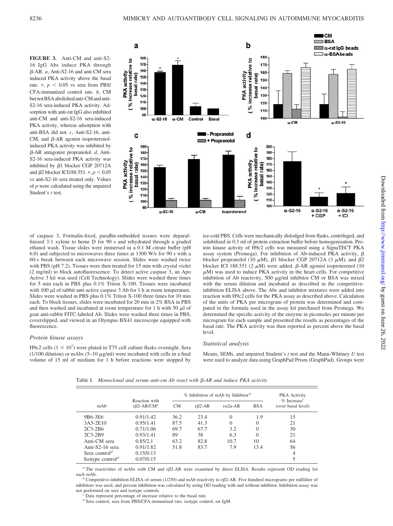**FIGURE 3.** Anti-CM and anti-S2- 16 IgG Abs induce PKA through -AR. *a*, Anti-S2-16 and anti-CM sera induced PKA activity above the basal rate.  $\ast$ ,  $p < 0.05$  vs sera from PBS/ CFA-immunized control rats. *b*, CM but not BSA abolished anti-CM and anti-S2-16 sera-induced PKA activity. Adsorption with anti-rat IgG also inhibited anti-CM and anti-S2-16 sera-induced PKA activity, whereas adsorption with anti-BSA did not. *c*, Anti-S2-16, anti-CM, and  $\beta$ -AR agonist isoproterenolinduced PKA activity was inhibited by -AR antagonist propranolol. *d*, Anti-S2-16 sera-induced PKA activity was inhibited by  $\beta$ 1 blocker CGP 20712A and  $\beta$ 2 blocker ICI188.551. \*,  $p < 0.05$ vs anti-S2-16 sera treated only. Values of *p* were calculated using the unpaired Student's *t* test*.*



of caspase 3, Formalin-fixed, paraffin-embedded tissues were deparaffinized 3:1 xylene to heme D for 90 s and rehydrated through a graded ethanol wash. Tissue slides were immersed in a 0.1 M citrate buffer (pH 6.0) and subjected to microwaves three times at 1300 W/s for 90 s with a 60-s break between each microwave session. Slides were washed twice with PBS (pH 7.2). Tissues were then treated for 15 min with crystal violet (2 mg/ml) to block autofluorescence. To detect active caspase 3, an Apo Active 3 kit was used (Cell Technology). Slides were washed three times for 5 min each in PBS plus 0.1% Triton X-100. Tissues were incubated with 100  $\mu$ l of rabbit anti-active caspase 3 Ab for 1 h at room temperature. Slides were washed in PBS plus 0.1% Triton X-100 three times for 10 min each. To block tissues, slides were incubated for 20 min in 2% BSA in PBS and then washed and incubated at room temperature for 1 h with 50  $\mu$ l of goat anti-rabbit FITC-labeled Ab. Slides were washed three times in PBS, coverslipped, and viewed in an Olympus BX41 microscope equipped with fluorescence.

#### *Protein kinase assays*

H9c2 cells  $(1 \times 10^7)$  were plated in T75 cell culture flasks overnight. Sera (1/100 dilution) or mAbs  $(5-10 \mu g/ml)$  were incubated with cells in a final volume of 15 ml of medium for 1 h before reactions were stopped by

ice-cold PBS. Cells were mechanically dislodged from flasks, centrifuged, and solubilized in 0.3 ml of protein extraction buffer before homogenization. Protein kinase activity of H9c2 cells was measured using a SignaTECT PKA assay system (Promega). For inhibition of Ab-induced PKA activity,  $\beta$ blocker propranolol (10  $\mu$ M),  $\beta$ 1 blocker CGP 20712A (3  $\mu$ M), and  $\beta$ 2 blocker ICI 188.551 (2  $\mu$ M) were added.  $\beta$ -AR agonist isoproterenol (10  $\mu$ M) was used to induce PKA activity in the heart cells. For competitive inhibition of Ab reactivity, 500  $\mu$ g/ml inhibitor CM or BSA was mixed with the serum dilution and incubated as described in the competitiveinhibition ELISA above. The Abs and inhibitor mixtures were added into reaction with H9c2 cells for the PKA assay as described above. Calculation of the units of PKA per microgram of protein was determined and computed in the formula used in the assay kit purchased from Promega. We determined the specific activity of the enzyme in picomoles per minute per microgram for each sample and presented the results as percentages of the basal rate. The PKA activity was then reported as percent above the basal level.

#### *Statistical analysis*

Means, SEMs, and unpaired Student's *t* test and the Mann-Whitney *U* test were used to analyze data using GraphPad Prism (GraphPad). Groups were

mAb Reaction with r2-AR/CM*<sup>a</sup>* % Inhibition of mAb by Inhibitor *<sup>b</sup>* PKA Activity % Increase*<sup>c</sup>* CM  $r\beta$ 2-AR  $r\alpha$ 2a-AR BSA (over basal level) 9B6-3E6 0.91/1.42 36.2 23.4 0 1.9 15 3A5-2E10 0.95/1.41 87.5 41.3 0 0 21 2C3-2B6 0.71/1.06 69.7 67.7 3.2 0 30 2C3-2B9 0.93/1.41 89 38 6.3 0 21 Anti-CM sera 0.85/2.1 63.2 82.8 10.7 10 64 Anti-S2-16 sera  $0.91/1.82$  51.8 83.7 7.9 13.4 56 Sera control<sup>d</sup> 0.15/0.13 4 Isotype control<sup>d</sup> 0.07/0.15 5

Table I. *Monoclonal and serum anti-cm Ab react with*  $\beta$ *-AR and induce PKA activity* 

*a* The reactivities of mAbs with CM and rβ2-AR were examined by direct ELISA. Results represent OD reading for each mAb.<br><sup>*b*</sup> Competitive-inhibition ELISA of serum (1/250) and mAb reactivity to rβ2-AR. Five hundred micrograms per milliliter of

inhibitors was used, and percent inhibition was calculated by using OD reading with and without inhibitor. Inhibition assay was not performed on sera and isotype controls. *<sup>c</sup>* Data represent percentage of increase relative to the basal rate.

*<sup>d</sup>* Sera control, sera from PBS/CFA-immunized rats; isotype control, rat IgM.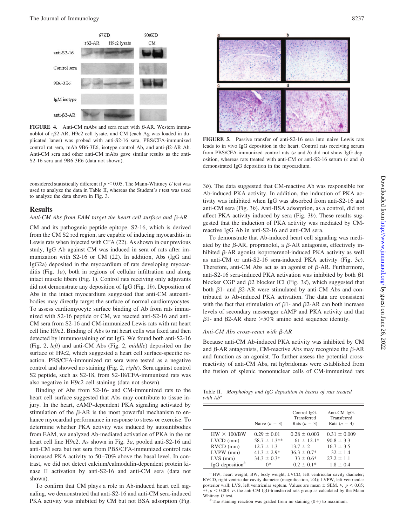

**FIGURE 4.** Anti-CM mAbs and sera react with  $\beta$ -AR. Western immunoblot of r2-AR, H9c2 cell lysate, and CM (each Ag was loaded in duplicated lanes) was probed with anti-S2-16 sera, PBS/CFA-immunized control rat sera, mAb 9B6-3E6, isotype control Ab, and anti- $\beta$ 2-AR Ab. Anti-CM sera and other anti-CM mAbs gave similar results as the anti-S2-16 sera and 9B6-3E6 (data not shown).

considered statistically different if  $p \leq 0.05$ . The Mann-Whitney *U* test was used to analyze the data in Table II, whereas the Student's *t* test was used to analyze the data shown in Fig. 3.

#### **Results**

### Anti-CM Abs from EAM target the heart cell surface and  $\beta$ -AR

CM and its pathogenic peptide epitope, S2-16, which is derived from the CM S2 rod region, are capable of inducing myocarditis in Lewis rats when injected with CFA (22). As shown in our previous study, IgG Ab against CM was induced in sera of rats after immunization with S2-16 or CM (22). In addition, Abs (IgG and IgG2a) deposited in the myocardium of rats developing myocarditis (Fig. 1*a*), both in regions of cellular infiltration and along intact muscle fibers (Fig. 1). Control rats receiving only adjuvants did not demonstrate any deposition of IgG (Fig. 1*b*). Deposition of Abs in the intact myocardium suggested that anti-CM autoantibodies may directly target the surface of normal cardiomyocytes. To assess cardiomyocyte surface binding of Ab from rats immunized with S2-16 peptide or CM, we reacted anti-S2-16 and anti-CM sera from S2-16 and CM-immunized Lewis rats with rat heart cell line H9c2. Binding of Abs to rat heart cells was fixed and then detected by immunostaining of rat IgG. We found both anti-S2-16 (Fig. 2, *left*) and anti-CM Abs (Fig. 2, *middle*) deposited on the surface of H9c2, which suggested a heart cell surface-specific reaction. PBS/CFA-immunized rat sera were tested as a negative control and showed no staining (Fig. 2, *right*). Sera against control S2 peptide, such as S2-18, from S2-18/CFA-immunized rats was also negative in H9c2 cell staining (data not shown).

Binding of Abs from S2-16- and CM-immunized rats to the heart cell surface suggested that Abs may contribute to tissue injury. In the heart, cAMP-dependent PKA signaling activated by stimulation of the  $\beta$ -AR is the most powerful mechanism to enhance myocardial performance in response to stress or exercise. To determine whether PKA activity was induced by autoantibodies from EAM, we analyzed Ab-mediated activation of PKA in the rat heart cell line H9c2. As shown in Fig. 3*a*, pooled anti-S2-16 and anti-CM sera but not sera from PBS/CFA-immunized control rats increased PKA activity to 50-70% above the basal level. In contrast, we did not detect calcium/calmodulin-dependent protein kinase II activation by anti-S2-16 and anti-CM sera (data not shown).

To confirm that CM plays a role in Ab-induced heart cell signaling, we demonstrated that anti-S2-16 and anti-CM sera-induced PKA activity was inhibited by CM but not BSA adsorption (Fig.



**FIGURE 5.** Passive transfer of anti-S2-16 sera into naive Lewis rats leads to in vivo IgG deposition in the heart. Control rats receiving serum from PBS/CFA-immunized control rats (*a* and *b*) did not show IgG deposition, whereas rats treated with anti-CM or anti-S2-16 serum (*c* and *d*) demonstrated IgG deposition in the myocardium.

3*b*). The data suggested that CM-reactive Ab was responsible for Ab-induced PKA activity. In addition, the induction of PKA activity was inhibited when IgG was absorbed from anti-S2-16 and anti-CM sera (Fig. 3*b*). Anti-BSA adsorption, as a control, did not affect PKA activity induced by sera (Fig. 3*b*). These results suggested that the induction of PKA activity was mediated by CMreactive IgG Ab in anti-S2-16 and anti-CM sera.

To demonstrate that Ab-induced heart cell signaling was mediated by the  $\beta$ -AR, propranolol, a  $\beta$ -AR antagonist, effectively inhibited  $\beta$ -AR agonist isoproterenol-induced PKA activity as well as anti-CM or anti-S2-16 sera-induced PKA activity (Fig. 3*c*). Therefore, anti-CM Abs act as an agonist of  $\beta$ -AR. Furthermore, anti-S2-16 sera-induced PKA activation was inhibited by both  $\beta$ 1 blocker CGP and  $\beta$ 2 blocker ICI (Fig. 3*d*), which suggested that both  $\beta$ 1- and  $\beta$ 2-AR were stimulated by anti-CM Abs and contributed to Ab-induced PKA activation. The data are consistent with the fact that stimulation of  $\beta$ 1- and  $\beta$ 2-AR can both increase levels of secondary messenger cAMP and PKA activity and that  $\beta$ 1- and  $\beta$ 2-AR share  $>$ 50% amino acid sequence identity.

## *Anti-CM Abs cross-react with* β-AR

Because anti-CM Ab-induced PKA activity was inhibited by CM and  $\beta$ -AR antagonists, CM-reactive Abs may recognize the  $\beta$ -AR and function as an agonist. To further assess the potential crossreactivity of anti-CM Abs, rat hybridomas were established from the fusion of splenic mononuclear cells of CM-immunized rats

Table II. *Morphology and IgG deposition in hearts of rats treated with Aba*

|                             | Naive $(n = 3)$  | Control IgG-<br>Transferred<br>Rats $(n = 3)$ | Anti-CM IgG-<br>Transferred<br>Rats $(n = 4)$ |
|-----------------------------|------------------|-----------------------------------------------|-----------------------------------------------|
| $HW \times 100/BW$          | $0.29 \pm 0.01$  | $0.28 \pm 0.003$                              | $0.31 \pm 0.009$                              |
| $LVCD$ (mm)                 | $58.7 \pm 1.3**$ | $61 \pm 12.1*$                                | $90.8 \pm 3.3$                                |
| $RVCD$ (mm)                 | $12.7 \pm 1.3$   | $13.7 \pm 2$                                  | $16.7 \pm 3.5$                                |
| $LVPW$ (mm)                 | $41.3 \pm 2.9*$  | $36.3 \pm 0.7*$                               | $32 \pm 1.4$                                  |
| $LVS$ (mm)                  | $34.3 \pm 0.3*$  | $33 \pm 0.6^*$                                | $27.2 + 1.1$                                  |
| IgG deposition <sup>b</sup> | ∩*               | $0.2 \pm 0.1*$                                | $1.8 \pm 0.4$                                 |

*<sup>a</sup>* HW, heart weight; BW, body weight; LVCD, left ventricular cavity diameter; RVCD, right ventricular cavity diameter (magnification, ×4); LVPW, left ventricular posterior wall; LVS, left ventricular septum. Values are mean  $\pm$  SEM.  $*$ ,  $p < 0.05$ ;  $**$ ,  $p < 0.001$  vs the anti-CM IgG-transferred rats group as calculated by the Mann Whitney U test.

 $<sup>b</sup>$  The staining reaction was graded from no staining (0+) to maximum.</sup>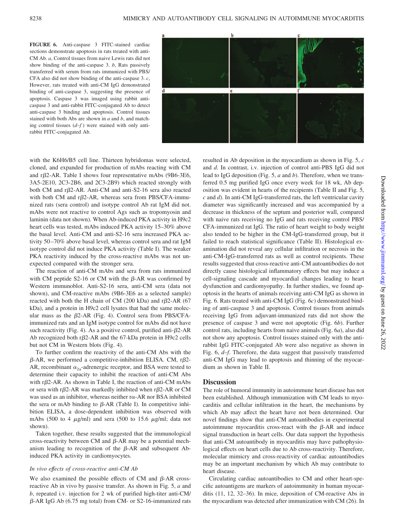**FIGURE 6.** Anti-caspase 3 FITC-stained cardiac sections demonstrate apoptosis in rats treated with anti-CM Ab. *a*, Control tissues from naive Lewis rats did not show binding of the anti-caspase 3. *b*, Rats passively transferred with serum from rats immunized with PBS/ CFA also did not show binding of the anti-caspase 3. *c*, However, rats treated with anti-CM IgG demonstrated binding of anti-caspase 3, suggesting the presence of apoptosis. Caspase 3 was imaged using rabbit anticaspase 3 and anti-rabbit FITC-conjugated Ab to detect anti-caspase 3 binding and apoptosis. Control tissues stained with both Abs are shown in *a* and *b*, and matching control tissues  $(d-f)$  were stained with only antirabbit FITC-conjugated Ab.



with the K6H6/B5 cell line. Thirteen hybridomas were selected, cloned, and expanded for production of mAbs reacting with CM and  $r\beta$ 2-AR. Table I shows four representative mAbs (9B6-3E6, 3A5-2E10, 2C3-2B6, and 2C3-2B9) which reacted strongly with both CM and  $r\beta$ 2-AR. Anti-CM and anti-S2-16 sera also reacted with both CM and  $r\beta$ 2-AR, whereas sera from PBS/CFA-immunized rats (sera control) and isotype control Ab rat IgM did not. mAbs were not reactive to control Ags such as tropomyosin and laminin (data not shown). When Ab-induced PKA activity in H9c2 heart cells was tested, mAbs induced PKA activity 15–30% above the basal level. Anti-CM and anti-S2-16 sera increased PKA activity 50 –70% above basal level, whereas control sera and rat IgM isotype control did not induce PKA activity (Table I). The weaker PKA reactivity induced by the cross-reactive mAbs was not unexpected compared with the stronger sera.

The reaction of anti-CM mAbs and sera from rats immunized with CM peptide  $S2-16$  or CM with the  $\beta$ -AR was confirmed by Western immunoblot. Anti-S2-16 sera, anti-CM sera (data not shown), and CM-reactive mAbs (9B6-3E6 as a selected sample) reacted with both the H chain of CM (200 kDa) and  $r\beta$ 2-AR (67 kDa), and a protein in H9c2 cell lysates that had the same molecular mass as the  $\beta$ 2-AR (Fig. 4). Control sera from PBS/CFAimmunized rats and an IgM isotype control for mAbs did not have such reactivity (Fig. 4). As a positive control, purified anti- $\beta$ 2-AR Ab recognized both  $r\beta$ 2-AR and the 67-kDa protein in H9c2 cells but not CM in Western blots (Fig. 4).

To further confirm the reactivity of the anti-CM Abs with the  $\beta$ -AR, we performed a competitive-inhibition ELISA. CM, r $\beta$ 2-AR, recombinant  $\alpha_{2a}$ -adrenergic receptor, and BSA were tested to determine their capacity to inhibit the reaction of anti-CM Abs with  $r\beta$ 2-AR. As shown in Table I, the reaction of anti-CM mAbs or sera with r $\beta$ 2-AR was markedly inhibited when r $\beta$ 2-AR or CM was used as an inhibitor, whereas neither ra-AR nor BSA inhibited the sera or mAb binding to  $\beta$ -AR (Table I). In competitive inhibition ELISA, a dose-dependent inhibition was observed with mAbs (500 to 4  $\mu$ g/ml) and sera (500 to 15.6  $\mu$ g/ml; data not shown).

Taken together, these results suggested that the immunological cross-reactivity between CM and  $\beta$ -AR may be a potential mechanism leading to recognition of the  $\beta$ -AR and subsequent Abinduced PKA activity in cardiomyocytes.

## *In vivo effects of cross-reactive anti-CM Ab*

We also examined the possible effects of CM and  $\beta$ -AR crossreactive Ab in vivo by passive transfer. As shown in Fig. 5, *a* and *b*, repeated i.v. injection for 2 wk of purified high-titer anti-CM/  $\beta$ -AR IgG Ab (6.75 mg total) from CM- or S2-16-immunized rats resulted in Ab deposition in the myocardium as shown in Fig. 5, *c* and *d*. In contrast, i.v. injection of control anti-PBS IgG did not lead to IgG deposition (Fig. 5, *a* and *b*). Therefore, when we transferred 0.5 mg purified IgG once every week for 18 wk, Ab deposition was evident in hearts of the recipients (Table II and Fig*.* 5, *c* and *d*). In anti-CM IgG-transferred rats, the left ventricular cavity diameter was significantly increased and was accompanied by a decrease in thickness of the septum and posterior wall, compared with naive rats receiving no IgG and rats receiving control PBS/ CFA-immunized rat IgG. The ratio of heart weight to body weight also tended to be higher in the CM-IgG-transferred group, but it failed to reach statistical significance (Table II). Histological examination did not reveal any cellular infiltration or necrosis in the anti-CM-IgG-transferred rats as well as control recipients. These results suggested that cross-reactive anti-CM autoantibodies do not directly cause histological inflammatory effects but may induce a cell-signaling cascade and myocardial changes leading to heart dysfunction and cardiomyopathy. In further studies, we found apoptosis in the hearts of animals receiving anti-CM IgG as shown in Fig. 6. Rats treated with anti-CM IgG (Fig. 6*c*) demonstrated binding of anti-caspase 3 and apoptosis. Control tissues from animals receiving IgG from adjuvant-immunized rats did not show the presence of caspase 3 and were not apoptotic (Fig. 6*b*). Further control rats, including hearts from naive animals (Fig. 6*a*), also did not show any apoptosis. Control tissues stained only with the antirabbit IgG FITC-conjugated Ab were also negative as shown in Fig. 6, *d*–*f*. Therefore, the data suggest that passively transferred anti-CM IgG may lead to apoptosis and thinning of the myocardium as shown in Table II.

## **Discussion**

The role of humoral immunity in autoimmune heart disease has not been established. Although immunization with CM leads to myocarditis and cellular infiltration in the heart, the mechanisms by which Ab may affect the heart have not been determined. Our novel findings show that anti-CM autoantibodies in experimental autoimmune myocarditis cross-react with the  $\beta$ -AR and induce signal transduction in heart cells. Our data support the hypothesis that anti-CM autoantibody in myocarditis may have pathophysiological effects on heart cells due to Ab cross-reactivity. Therefore, molecular mimicry and cross-reactivity of cardiac autoantibodies may be an important mechanism by which Ab may contribute to heart disease.

Circulating cardiac autoantibodies to CM and other heart-specific autoantigens are markers of autoimmunity in human myocarditis (11, 12, 32–36). In mice, deposition of CM-reactive Abs in the myocardium was detected after immunization with CM (26). In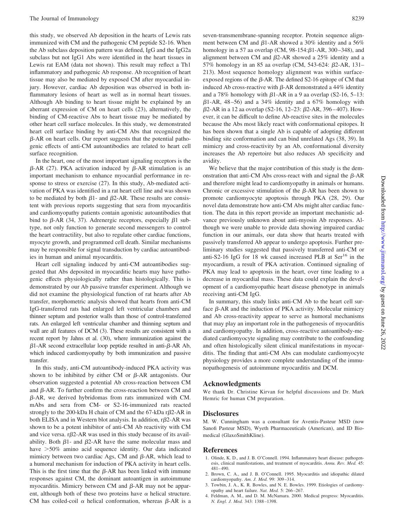this study, we observed Ab deposition in the hearts of Lewis rats immunized with CM and the pathogenic CM peptide S2-16. When the Ab subclass deposition pattern was defined, IgG and the IgG2a subclass but not IgG1 Abs were identified in the heart tissues in Lewis rat EAM (data not shown). This result may reflect a Th1 inflammatory and pathogenic Ab response. Ab recognition of heart tissue may also be mediated by exposed CM after myocardial injury. However, cardiac Ab deposition was observed in both inflammatory lesions of heart as well as in normal heart tissues. Although Ab binding to heart tissue might be explained by an aberrant expression of CM on heart cells (23), alternatively, the binding of CM-reactive Abs to heart tissue may be mediated by other heart cell surface molecules. In this study, we demonstrated heart cell surface binding by anti-CM Abs that recognized the  $\beta$ -AR on heart cells. Our report suggests that the potential pathogenic effects of anti-CM autoantibodies are related to heart cell surface recognition.

In the heart, one of the most important signaling receptors is the  $\beta$ -AR (27). PKA activation induced by  $\beta$ -AR stimulation is an important mechanism to enhance myocardial performance in response to stress or exercise (27). In this study, Ab-mediated activation of PKA was identified in a rat heart cell line and was shown to be mediated by both  $\beta$ 1- and  $\beta$ 2-AR. These results are consistent with previous reports suggesting that sera from myocarditis and cardiomyopathy patients contain agonistic autoantibodies that bind to  $\beta$ -AR (34, 37). Adrenergic receptors, especially  $\beta$ 1 subtype, not only function to generate second messengers to control the heart contractility, but also to regulate other cardiac functions, myocyte growth, and programmed cell death. Similar mechanisms may be responsible for signal transduction by cardiac autoantibodies in human and animal myocarditis.

Heart cell signaling induced by anti-CM autoantibodies suggested that Abs deposited in myocarditic hearts may have pathogenic effects physiologically rather than histologically. This is demonstrated by our Ab passive transfer experiment. Although we did not examine the physiological function of rat hearts after Ab transfer, morphometric analysis showed that hearts from anti-CM IgG-transferred rats had enlarged left ventricular chambers and thinner septum and posterior walls than those of control-transferred rats. An enlarged left ventricular chamber and thinning septum and wall are all features of DCM (3). These results are consistent with a recent report by Jahns et al. (30), where immunization against the  $\beta$ 1-AR second extracellular loop peptide resulted in anti- $\beta$ -AR Ab, which induced cardiomyopathy by both immunization and passive transfer.

In this study, anti-CM autoantibody-induced PKA activity was shown to be inhibited by either CM or  $\beta$ -AR antagonists. Our observation suggested a potential Ab cross-reaction between CM and  $\beta$ -AR. To further confirm the cross-reaction between CM and  $\beta$ -AR, we derived hybridomas from rats immunized with CM. mAbs and sera from CM- or S2-16-immunized rats reacted strongly to the 200-kDa H chain of CM and the 67-kDa  $r\beta$ 2-AR in both ELISA and in Western blot analysis. In addition,  $r\beta$ 2-AR was shown to be a potent inhibitor of anti-CM Ab reactivity with CM and vice versa.  $r\beta$ 2-AR was used in this study because of its availability. Both  $\beta$ 1- and  $\beta$ 2-AR have the same molecular mass and have  $>50\%$  amino acid sequence identity. Our data indicated mimicry between two cardiac Ags, CM and  $\beta$ -AR, which lead to a humoral mechanism for induction of PKA activity in heart cells. This is the first time that the  $\beta$ -AR has been linked with immune responses against CM, the dominant autoantigen in autoimmune myocarditis. Mimicry between CM and  $\beta$ -AR may not be apparent, although both of these two proteins have  $\alpha$  helical structure. CM has coiled-coil  $\alpha$  helical conformation, whereas  $\beta$ -AR is a

seven-transmembrane-spanning receptor. Protein sequence alignment between CM and  $\beta$ 1-AR showed a 30% identity and a 56% homology in a 57 aa overlap (CM,  $98-154: \beta1-AR$ ,  $300-348$ ), and alignment between CM and  $\beta$ 2-AR showed a 25% identity and a 57% homology in an 85 aa overlap (CM, 543-624; B2-AR, 131– 213). Most sequence homology alignment was within surfaceexposed regions of the  $\beta$ -AR. The defined S2-16 epitope of CM that induced Ab cross-reactive with  $\beta$ -AR demonstrated a 44% identity and a 78% homology with  $\beta$ 1-AR in a 9 aa overlap (S2-16, 5–13:  $\beta$ 1-AR, 48-56) and a 34% identity and a 67% homology with  $\beta$ 2-AR in a 12 aa overlap (S2-16, 12–23:  $\beta$ 2-AR, 396–407). However, it can be difficult to define Ab-reactive sites in the molecules because the Abs most likely react with conformational epitopes. It has been shown that a single Ab is capable of adopting different binding site conformation and can bind unrelated Ags (38, 39). In mimicry and cross-reactivity by an Ab, conformational diversity increases the Ab repertoire but also reduces Ab specificity and avidity.

We believe that the major contribution of this study is the demonstration that anti-CM Abs cross-react with and signal the  $\beta$ -AR and therefore might lead to cardiomyopathy in animals or humans. Chronic or excessive stimulation of the  $\beta$ -AR has been shown to promote cardiomyocyte apoptosis through PKA (28, 29). Our novel data demonstrate how anti-CM Abs might alter cardiac function. The data in this report provide an important mechanistic advance previously unknown about anti-myosin Ab responses. Although we were unable to provide data showing impaired cardiac function in our animals, our data show that hearts treated with passively transferred Ab appear to undergo apoptosis. Further preliminary studies suggested that passively transferred anti-CM or anti-S2-16 IgG for 18 wk caused increased PLB at  $\text{Ser}^{16}$  in the myocardium, a result of PKA activation. Continued signaling of PKA may lead to apoptosis in the heart, over time leading to a decrease in myocardial mass. These data could explain the development of a cardiomyopathic heart disease phenotype in animals receiving anti-CM IgG.

In summary, this study links anti-CM Ab to the heart cell surface  $\beta$ -AR and the induction of PKA activity. Molecular mimicry and Ab cross-reactivity appear to serve as humoral mechanisms that may play an important role in the pathogenesis of myocarditis and cardiomyopathy. In addition, cross-reactive autoantibody-mediated cardiomyocyte signaling may contribute to the confounding and often histologically silent clinical manifestations in myocarditis. The finding that anti-CM Abs can modulate cardiomyocyte physiology provides a more complete understanding of the immunopathogenesis of autoimmune myocarditis and DCM.

## **Acknowledgments**

We thank Dr. Christine Kirvan for helpful discussions and Dr. Mark Hemric for human CM preparation.

## **Disclosures**

M. W. Cunningham was a consultant for Aventis-Pasteur MSD (now Sanofi Pasteur MSD), Wyeth Pharmaceuticals (American), and ID Biomedical (GlaxoSmithKline).

#### **References**

- 1. Olinde, K. D., and J. B. O'Connell. 1994. Inflammatory heart disease: pathogenesis, clinical manifestations, and treatment of myocarditis. *Annu. Rev. Med.* 45: 481– 490.
- 2. Brown, C. A., and J. B. O'Connell. 1995. Myocarditis and idiopathic dilated cardiomyopathy. *Am. J. Med.* 99: 309 –314.
- 3. Towbin, J. A., K. R. Bowles, and N. E. Bowles. 1999. Etiologies of cardiomyopathy and heart failure. *Nat. Med.* 5: 266 –267.
- 4. Feldman, A. M., and D. M. McNamara. 2000. Medical progress: Myocarditis. *N. Engl. J. Med.* 343: 1388 –1398.